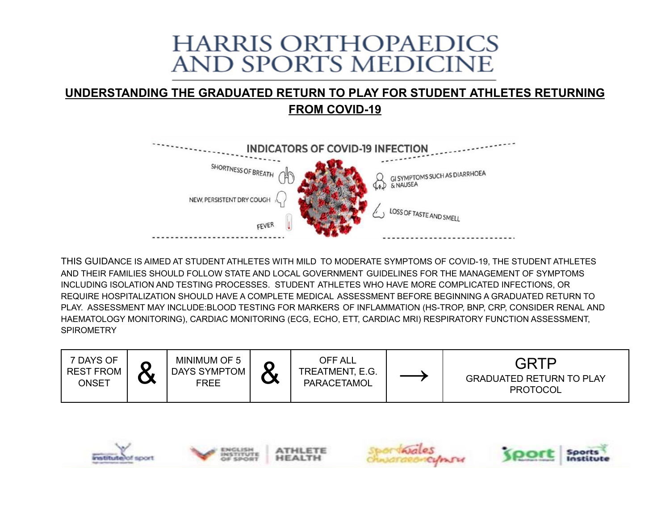# **HARRIS ORTHOPAEDICS** AND SPORTS MEDICINE

### **UNDERSTANDING THE GRADUATED RETURN TO PLAY FOR STUDENT ATHLETES RETURNING FROM COVID-19**



THIS GUIDANCE IS AIMED AT STUDENT ATHLETES WITH MILD TO MODERATE SYMPTOMS OF COVID-19, THE STUDENT ATHLETES AND THEIR FAMILIES SHOULD FOLLOW STATE AND LOCAL GOVERNMENT GUIDELINES FOR THE MANAGEMENT OF SYMPTOMS INCLUDING ISOLATION AND TESTING PROCESSES. STUDENT ATHLETES WHO HAVE MORE COMPLICATED INFECTIONS, OR REQUIRE HOSPITALIZATION SHOULD HAVE A COMPLETE MEDICAL ASSESSMENT BEFORE BEGINNING A GRADUATED RETURN TO PLAY. ASSESSMENT MAY INCLUDE:BLOOD TESTING FOR MARKERS OF INFLAMMATION (HS-TROP, BNP, CRP, CONSIDER RENAL AND HAEMATOLOGY MONITORING), CARDIAC MONITORING (ECG, ECHO, ETT, CARDIAC MRI) RESPIRATORY FUNCTION ASSESSMENT, **SPIROMETRY** 







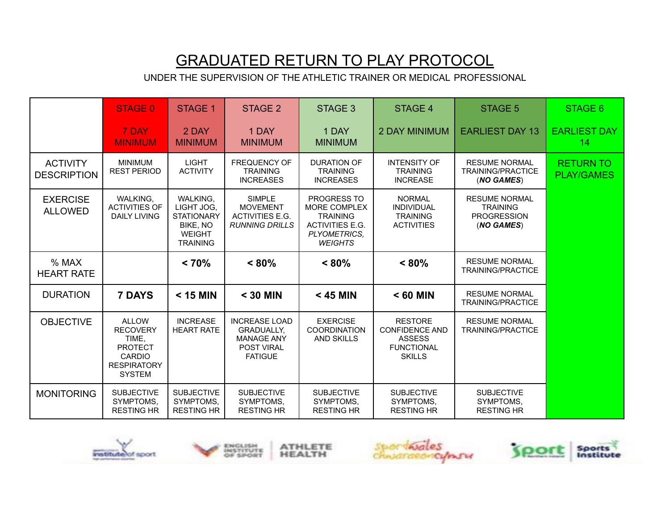## GRADUATED RETURN TO PLAY PROTOCOL

UNDER THE SUPERVISION OF THE ATHLETIC TRAINER OR MEDICAL PROFESSIONAL

|                                       | <b>STAGE 0</b>                                                                                              | <b>STAGE 1</b>                                                                                     | STAGE 2                                                                                               | STAGE 3                                                                                                                  | <b>STAGE 4</b>                                                                                 | <b>STAGE 5</b>                                                              | STAGE 6                               |
|---------------------------------------|-------------------------------------------------------------------------------------------------------------|----------------------------------------------------------------------------------------------------|-------------------------------------------------------------------------------------------------------|--------------------------------------------------------------------------------------------------------------------------|------------------------------------------------------------------------------------------------|-----------------------------------------------------------------------------|---------------------------------------|
|                                       | 7 DAY<br><b>MINIMUM</b>                                                                                     | 2 DAY<br><b>MINIMUM</b>                                                                            | 1 DAY<br><b>MINIMUM</b>                                                                               | 1 DAY<br><b>MINIMUM</b>                                                                                                  | <b>2 DAY MINIMUM</b>                                                                           | <b>EARLIEST DAY 13</b>                                                      | <b>EARLIEST DAY</b><br>14             |
| <b>ACTIVITY</b><br><b>DESCRIPTION</b> | <b>MINIMUM</b><br><b>REST PERIOD</b>                                                                        | <b>LIGHT</b><br><b>ACTIVITY</b>                                                                    | <b>FREQUENCY OF</b><br><b>TRAINING</b><br><b>INCREASES</b>                                            | <b>DURATION OF</b><br><b>TRAINING</b><br><b>INCREASES</b>                                                                | <b>INTENSITY OF</b><br><b>TRAINING</b><br><b>INCREASE</b>                                      | <b>RESUME NORMAL</b><br><b>TRAINING/PRACTICE</b><br>(NO GAMES)              | <b>RETURN TO</b><br><b>PLAY/GAMES</b> |
| <b>EXERCISE</b><br><b>ALLOWED</b>     | <b>WALKING.</b><br><b>ACTIVITIES OF</b><br><b>DAILY LIVING</b>                                              | <b>WALKING.</b><br>LIGHT JOG.<br><b>STATIONARY</b><br>BIKE, NO<br><b>WEIGHT</b><br><b>TRAINING</b> | <b>SIMPLE</b><br><b>MOVEMENT</b><br>ACTIVITIES E.G.<br><b>RUNNING DRILLS</b>                          | <b>PROGRESS TO</b><br>MORE COMPLEX<br><b>TRAINING</b><br><b>ACTIVITIES E.G.</b><br><b>PLYOMETRICS.</b><br><b>WEIGHTS</b> | <b>NORMAL</b><br><b>INDIVIDUAL</b><br><b>TRAINING</b><br><b>ACTIVITIES</b>                     | <b>RESUME NORMAL</b><br><b>TRAINING</b><br><b>PROGRESSION</b><br>(NO GAMES) |                                       |
| % MAX<br><b>HEART RATE</b>            |                                                                                                             | < 70%                                                                                              | $< 80\%$                                                                                              | $< 80\%$                                                                                                                 | $< 80\%$                                                                                       | <b>RESUME NORMAL</b><br>TRAINING/PRACTICE                                   |                                       |
| <b>DURATION</b>                       | <b>7 DAYS</b>                                                                                               | $<$ 15 MIN                                                                                         | $<$ 30 MIN                                                                                            | $<$ 45 MIN                                                                                                               | < 60 MIN                                                                                       | <b>RESUME NORMAL</b><br><b>TRAINING/PRACTICE</b>                            |                                       |
| <b>OBJECTIVE</b>                      | <b>ALLOW</b><br><b>RECOVERY</b><br>TIME.<br><b>PROTECT</b><br>CARDIO<br><b>RESPIRATORY</b><br><b>SYSTEM</b> | <b>INCREASE</b><br><b>HEART RATE</b>                                                               | <b>INCREASE LOAD</b><br><b>GRADUALLY.</b><br><b>MANAGE ANY</b><br><b>POST VIRAL</b><br><b>FATIGUE</b> | <b>EXERCISE</b><br><b>COORDINATION</b><br><b>AND SKILLS</b>                                                              | <b>RESTORE</b><br><b>CONFIDENCE AND</b><br><b>ASSESS</b><br><b>FUNCTIONAL</b><br><b>SKILLS</b> | <b>RESUME NORMAL</b><br><b>TRAINING/PRACTICE</b>                            |                                       |
|                                       |                                                                                                             |                                                                                                    |                                                                                                       |                                                                                                                          |                                                                                                |                                                                             |                                       |